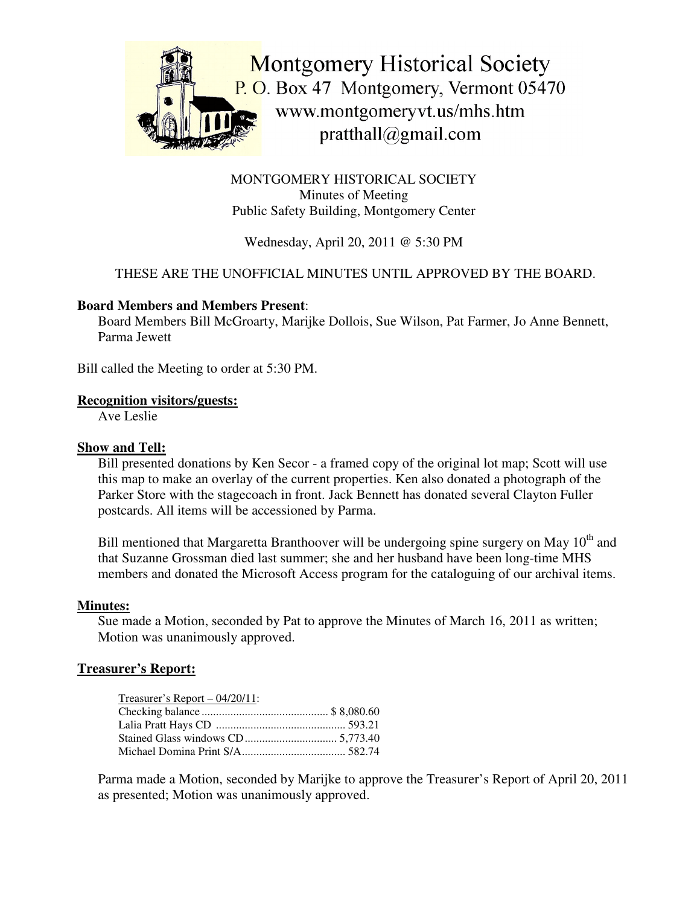

MONTGOMERY HISTORICAL SOCIETY Minutes of Meeting Public Safety Building, Montgomery Center

Wednesday, April 20, 2011 @ 5:30 PM

# THESE ARE THE UNOFFICIAL MINUTES UNTIL APPROVED BY THE BOARD.

### **Board Members and Members Present**:

Board Members Bill McGroarty, Marijke Dollois, Sue Wilson, Pat Farmer, Jo Anne Bennett, Parma Jewett

Bill called the Meeting to order at 5:30 PM.

#### **Recognition visitors/guests:**

Ave Leslie

### **Show and Tell:**

Bill presented donations by Ken Secor - a framed copy of the original lot map; Scott will use this map to make an overlay of the current properties. Ken also donated a photograph of the Parker Store with the stagecoach in front. Jack Bennett has donated several Clayton Fuller postcards. All items will be accessioned by Parma.

Bill mentioned that Margaretta Branthoover will be undergoing spine surgery on May 10<sup>th</sup> and that Suzanne Grossman died last summer; she and her husband have been long-time MHS members and donated the Microsoft Access program for the cataloguing of our archival items.

#### **Minutes:**

Sue made a Motion, seconded by Pat to approve the Minutes of March 16, 2011 as written; Motion was unanimously approved.

## **Treasurer's Report:**

| Treasurer's Report $-04/20/11$ : |  |
|----------------------------------|--|
|                                  |  |
|                                  |  |
|                                  |  |
|                                  |  |

Parma made a Motion, seconded by Marijke to approve the Treasurer's Report of April 20, 2011 as presented; Motion was unanimously approved.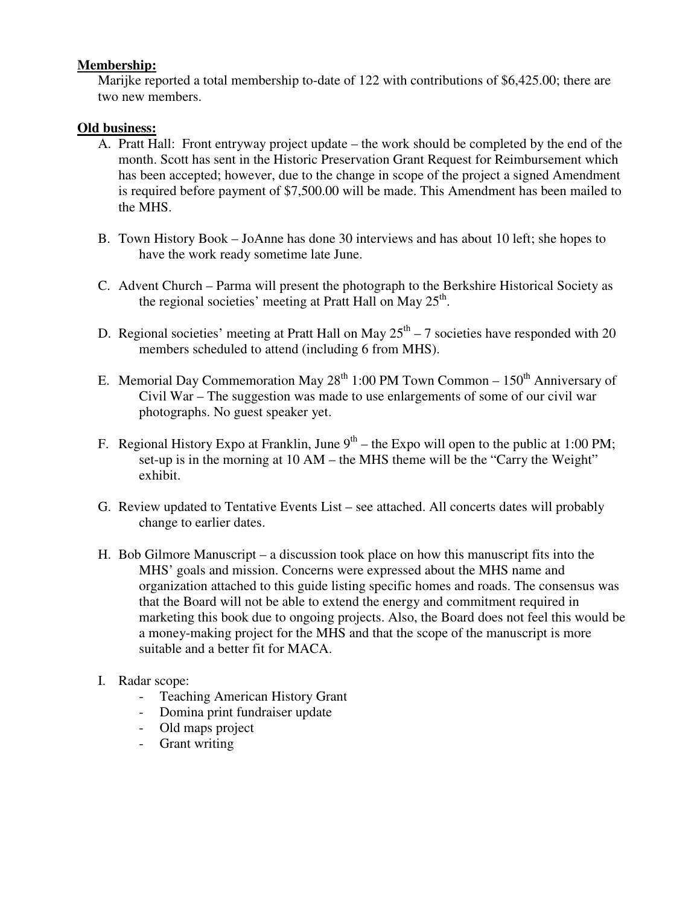#### **Membership:**

Marijke reported a total membership to-date of 122 with contributions of \$6,425.00; there are two new members.

### **Old business:**

- A. Pratt Hall: Front entryway project update the work should be completed by the end of the month. Scott has sent in the Historic Preservation Grant Request for Reimbursement which has been accepted; however, due to the change in scope of the project a signed Amendment is required before payment of \$7,500.00 will be made. This Amendment has been mailed to the MHS.
- B. Town History Book JoAnne has done 30 interviews and has about 10 left; she hopes to have the work ready sometime late June.
- C. Advent Church Parma will present the photograph to the Berkshire Historical Society as the regional societies' meeting at Pratt Hall on May 25<sup>th</sup>.
- D. Regional societies' meeting at Pratt Hall on May  $25<sup>th</sup> 7$  societies have responded with 20 members scheduled to attend (including 6 from MHS).
- E. Memorial Day Commemoration May 28<sup>th</sup> 1:00 PM Town Common 150<sup>th</sup> Anniversary of Civil War – The suggestion was made to use enlargements of some of our civil war photographs. No guest speaker yet.
- F. Regional History Expo at Franklin, June  $9^{th}$  the Expo will open to the public at 1:00 PM; set-up is in the morning at 10 AM – the MHS theme will be the "Carry the Weight" exhibit.
- G. Review updated to Tentative Events List see attached. All concerts dates will probably change to earlier dates.
- H. Bob Gilmore Manuscript a discussion took place on how this manuscript fits into the MHS' goals and mission. Concerns were expressed about the MHS name and organization attached to this guide listing specific homes and roads. The consensus was that the Board will not be able to extend the energy and commitment required in marketing this book due to ongoing projects. Also, the Board does not feel this would be a money-making project for the MHS and that the scope of the manuscript is more suitable and a better fit for MACA.
- I. Radar scope:
	- Teaching American History Grant
	- Domina print fundraiser update
	- Old maps project
	- Grant writing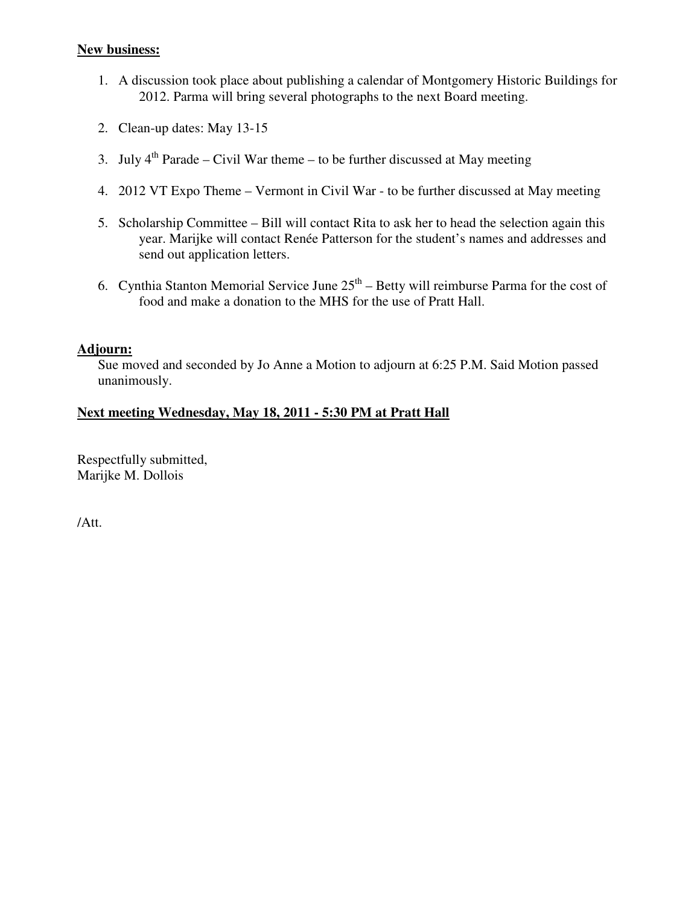#### **New business:**

- 1. A discussion took place about publishing a calendar of Montgomery Historic Buildings for 2012. Parma will bring several photographs to the next Board meeting.
- 2. Clean-up dates: May 13-15
- 3. July  $4^{th}$  Parade Civil War theme to be further discussed at May meeting
- 4. 2012 VT Expo Theme Vermont in Civil War to be further discussed at May meeting
- 5. Scholarship Committee Bill will contact Rita to ask her to head the selection again this year. Marijke will contact Renée Patterson for the student's names and addresses and send out application letters.
- 6. Cynthia Stanton Memorial Service June  $25<sup>th</sup>$  Betty will reimburse Parma for the cost of food and make a donation to the MHS for the use of Pratt Hall.

## **Adjourn:**

Sue moved and seconded by Jo Anne a Motion to adjourn at 6:25 P.M. Said Motion passed unanimously.

# **Next meeting Wednesday, May 18, 2011 - 5:30 PM at Pratt Hall**

Respectfully submitted, Marijke M. Dollois

/Att.